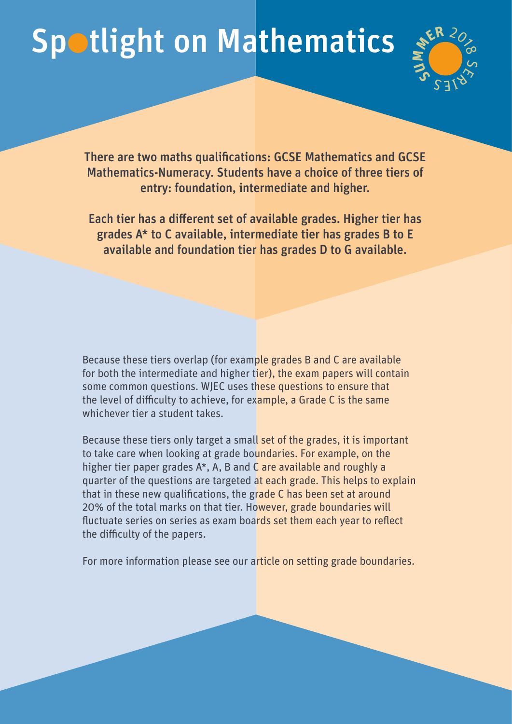## Spotlight on Mathematics



There are two maths qualifications: GCSE Mathematics and GCSE Mathematics-Numeracy. Students have a choice of three tiers of entry: foundation, intermediate and higher.

Each tier has a different set of available grades. Higher tier has grades A\* to C available, intermediate tier has grades B to E available and foundation tier has grades D to G available.

Because these tiers overlap (for example grades B and C are available for both the intermediate and higher tier), the exam papers will contain some common questions. WJEC uses these questions to ensure that the level of difficulty to achieve, for example, a Grade C is the same whichever tier a student takes.

Because these tiers only target a small set of the grades, it is important to take care when looking at grade boundaries. For example, on the higher tier paper grades A\*, A, B and C are available and roughly a quarter of the questions are targeted at each grade. This helps to explain that in these new qualifications, the grade C has been set at around 20% of the total marks on that tier. However, grade boundaries will fluctuate series on series as exam boards set them each year to reflect the difficulty of the papers.

For more information please see our article on setting grade boundaries.